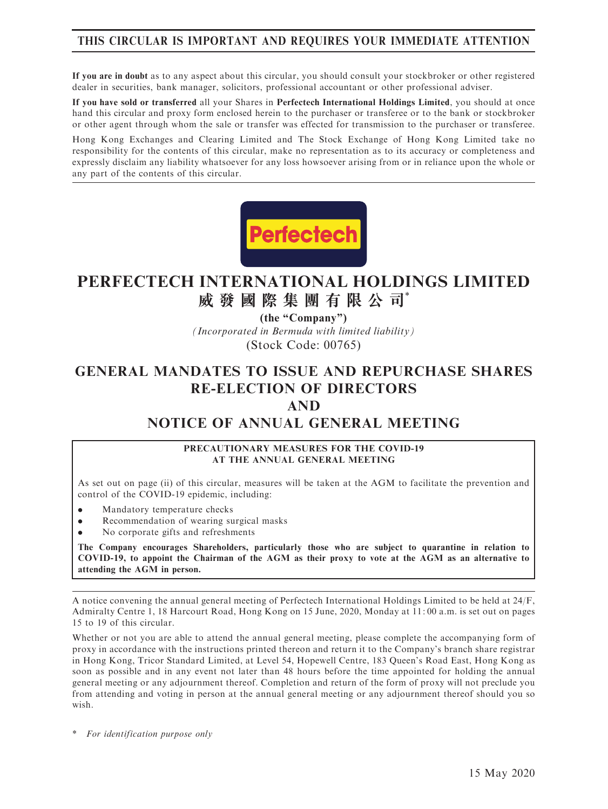# THIS CIRCULAR IS IMPORTANT AND REQUIRES YOUR IMMEDIATE ATTENTION

If you are in doubt as to any aspect about this circular, you should consult your stockbroker or other registered dealer in securities, bank manager, solicitors, professional accountant or other professional adviser.

If you have sold or transferred all your Shares in Perfectech International Holdings Limited, you should at once hand this circular and proxy form enclosed herein to the purchaser or transferee or to the bank or stockbroker or other agent through whom the sale or transfer was effected for transmission to the purchaser or transferee.

Hong Kong Exchanges and Clearing Limited and The Stock Exchange of Hong Kong Limited take no responsibility for the contents of this circular, make no representation as to its accuracy or completeness and expressly disclaim any liability whatsoever for any loss howsoever arising from or in reliance upon the whole or any part of the contents of this circular.



# **PERFECTECH INTERNATIONAL HOLDINGS LIMITED 威發國際集團有限公司**\*

*(Incorporated in Bermuda with limited liability)* (Stock Code: 00765) **(the "Company")**

# GENERAL MANDATES TO ISSUE AND REPURCHASE SHARES RE-ELECTION OF DIRECTORS

## AND

# NOTICE OF ANNUAL GENERAL MEETING

#### PRECAUTIONARY MEASURES FOR THE COVID-19 AT THE ANNUAL GENERAL MEETING

As set out on page (ii) of this circular, measures will be taken at the AGM to facilitate the prevention and control of the COVID-19 epidemic, including:

- . Mandatory temperature checks
- . Recommendation of wearing surgical masks
- . No corporate gifts and refreshments

The Company encourages Shareholders, particularly those who are subject to quarantine in relation to COVID-19, to appoint the Chairman of the AGM as their proxy to vote at the AGM as an alternative to attending the AGM in person.

A notice convening the annual general meeting of Perfectech International Holdings Limited to be held at 24/F, Admiralty Centre 1, 18 Harcourt Road, Hong Kong on 15 June, 2020, Monday at 11: 00 a.m. is set out on pages 15 to 19 of this circular.

Whether or not you are able to attend the annual general meeting, please complete the accompanying form of proxy in accordance with the instructions printed thereon and return it to the Company's branch share registrar in Hong Kong, Tricor Standard Limited, at Level 54, Hopewell Centre, 183 Queen's Road East, Hong Kong as soon as possible and in any event not later than 48 hours before the time appointed for holding the annual general meeting or any adjournment thereof. Completion and return of the form of proxy will not preclude you from attending and voting in person at the annual general meeting or any adjournment thereof should you so wish.

\* For identification purpose only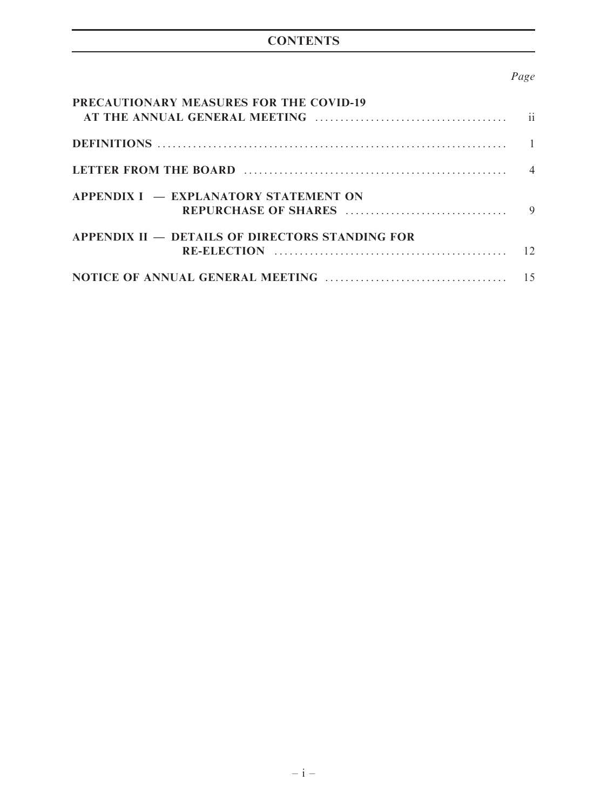# **CONTENTS**

# Page

| PRECAUTIONARY MEASURES FOR THE COVID-19                |                |
|--------------------------------------------------------|----------------|
|                                                        |                |
|                                                        | $\overline{4}$ |
| APPENDIX I – EXPLANATORY STATEMENT ON                  | $\mathbf Q$    |
| <b>APPENDIX II – DETAILS OF DIRECTORS STANDING FOR</b> |                |
|                                                        |                |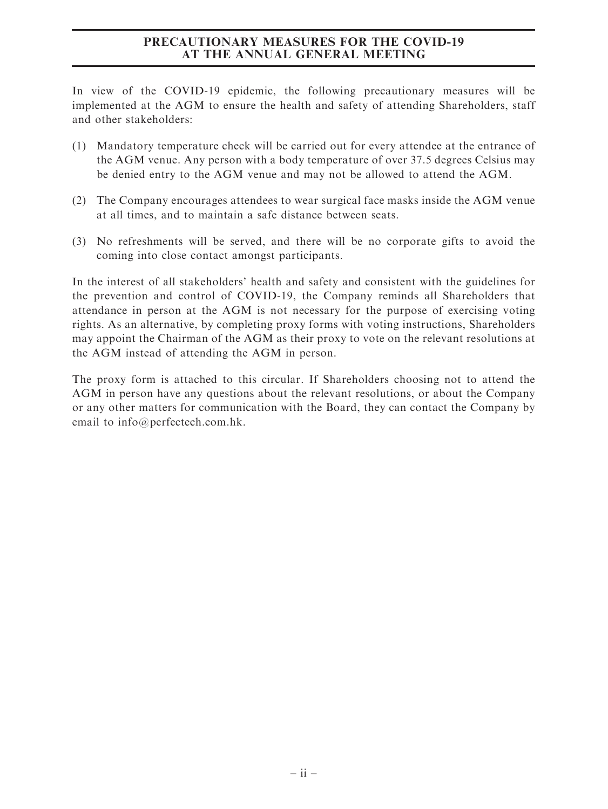## PRECAUTIONARY MEASURES FOR THE COVID-19 AT THE ANNUAL GENERAL MEETING

In view of the COVID-19 epidemic, the following precautionary measures will be implemented at the AGM to ensure the health and safety of attending Shareholders, staff and other stakeholders:

- (1) Mandatory temperature check will be carried out for every attendee at the entrance of the AGM venue. Any person with a body temperature of over 37.5 degrees Celsius may be denied entry to the AGM venue and may not be allowed to attend the AGM.
- (2) The Company encourages attendees to wear surgical face masks inside the AGM venue at all times, and to maintain a safe distance between seats.
- (3) No refreshments will be served, and there will be no corporate gifts to avoid the coming into close contact amongst participants.

In the interest of all stakeholders' health and safety and consistent with the guidelines for the prevention and control of COVID-19, the Company reminds all Shareholders that attendance in person at the AGM is not necessary for the purpose of exercising voting rights. As an alternative, by completing proxy forms with voting instructions, Shareholders may appoint the Chairman of the AGM as their proxy to vote on the relevant resolutions at the AGM instead of attending the AGM in person.

The proxy form is attached to this circular. If Shareholders choosing not to attend the AGM in person have any questions about the relevant resolutions, or about the Company or any other matters for communication with the Board, they can contact the Company by email to info@perfectech.com.hk.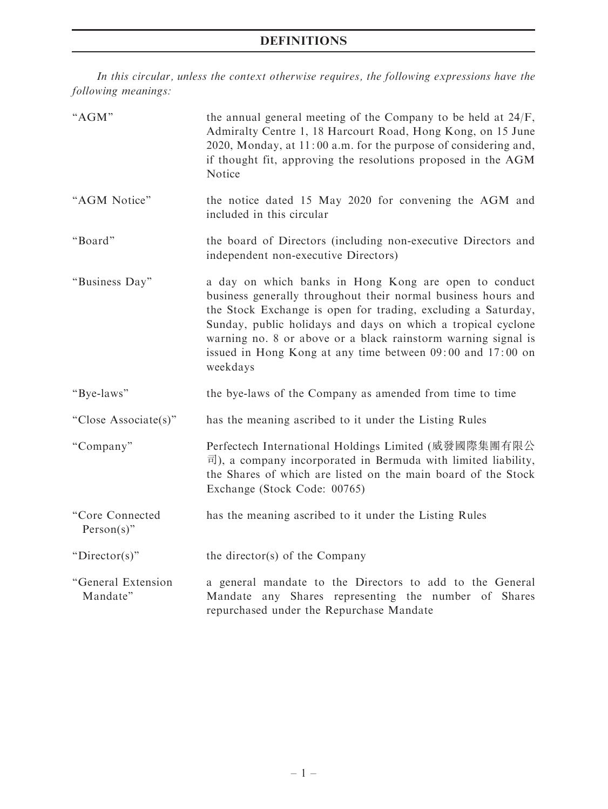# DEFINITIONS

In this circular, unless the context otherwise requires, the following expressions have the following meanings:

| "AGM"                            | the annual general meeting of the Company to be held at 24/F,<br>Admiralty Centre 1, 18 Harcourt Road, Hong Kong, on 15 June<br>2020, Monday, at 11:00 a.m. for the purpose of considering and,<br>if thought fit, approving the resolutions proposed in the AGM<br>Notice                                                                                                                         |
|----------------------------------|----------------------------------------------------------------------------------------------------------------------------------------------------------------------------------------------------------------------------------------------------------------------------------------------------------------------------------------------------------------------------------------------------|
| "AGM Notice"                     | the notice dated 15 May 2020 for convening the AGM and<br>included in this circular                                                                                                                                                                                                                                                                                                                |
| "Board"                          | the board of Directors (including non-executive Directors and<br>independent non-executive Directors)                                                                                                                                                                                                                                                                                              |
| "Business Day"                   | a day on which banks in Hong Kong are open to conduct<br>business generally throughout their normal business hours and<br>the Stock Exchange is open for trading, excluding a Saturday,<br>Sunday, public holidays and days on which a tropical cyclone<br>warning no. 8 or above or a black rainstorm warning signal is<br>issued in Hong Kong at any time between 09:00 and 17:00 on<br>weekdays |
| "Bye-laws"                       | the bye-laws of the Company as amended from time to time                                                                                                                                                                                                                                                                                                                                           |
| "Close Associate(s)"             | has the meaning ascribed to it under the Listing Rules                                                                                                                                                                                                                                                                                                                                             |
| "Company"                        | Perfectech International Holdings Limited (威發國際集團有限公<br>司), a company incorporated in Bermuda with limited liability,<br>the Shares of which are listed on the main board of the Stock<br>Exchange (Stock Code: 00765)                                                                                                                                                                             |
| "Core Connected<br>$Person(s)$ " | has the meaning ascribed to it under the Listing Rules                                                                                                                                                                                                                                                                                                                                             |
| " $Directory$ "                  | the director(s) of the Company                                                                                                                                                                                                                                                                                                                                                                     |
| "General Extension<br>Mandate"   | a general mandate to the Directors to add to the General<br>Mandate any Shares representing the number of Shares<br>repurchased under the Repurchase Mandate                                                                                                                                                                                                                                       |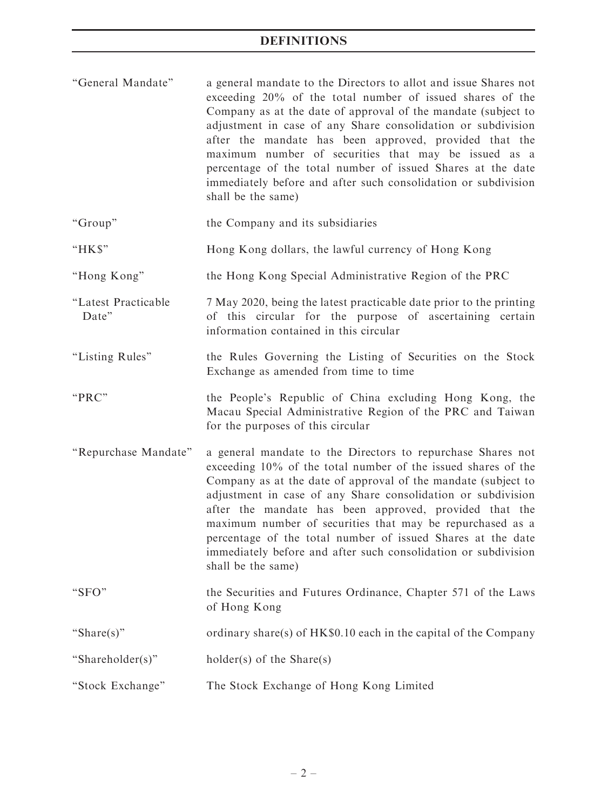''General Mandate'' a general mandate to the Directors to allot and issue Shares not exceeding 20% of the total number of issued shares of the Company as at the date of approval of the mandate (subject to adjustment in case of any Share consolidation or subdivision after the mandate has been approved, provided that the maximum number of securities that may be issued as a percentage of the total number of issued Shares at the date immediately before and after such consolidation or subdivision shall be the same)

''Group'' the Company and its subsidiaries

- ''HK\$'' Hong Kong dollars, the lawful currency of Hong Kong
- ''Hong Kong'' the Hong Kong Special Administrative Region of the PRC
- ''Latest Practicable Date'' 7 May 2020, being the latest practicable date prior to the printing of this circular for the purpose of ascertaining certain information contained in this circular
- ''Listing Rules'' the Rules Governing the Listing of Securities on the Stock Exchange as amended from time to time
- ''PRC'' the People's Republic of China excluding Hong Kong, the Macau Special Administrative Region of the PRC and Taiwan for the purposes of this circular
- ''Repurchase Mandate'' a general mandate to the Directors to repurchase Shares not exceeding 10% of the total number of the issued shares of the Company as at the date of approval of the mandate (subject to adjustment in case of any Share consolidation or subdivision after the mandate has been approved, provided that the maximum number of securities that may be repurchased as a percentage of the total number of issued Shares at the date immediately before and after such consolidation or subdivision shall be the same)
- ''SFO'' the Securities and Futures Ordinance, Chapter 571 of the Laws of Hong Kong
- ''Share(s)'' ordinary share(s) of HK\$0.10 each in the capital of the Company
- "Shareholder(s)" holder(s) of the Share(s)
- ''Stock Exchange'' The Stock Exchange of Hong Kong Limited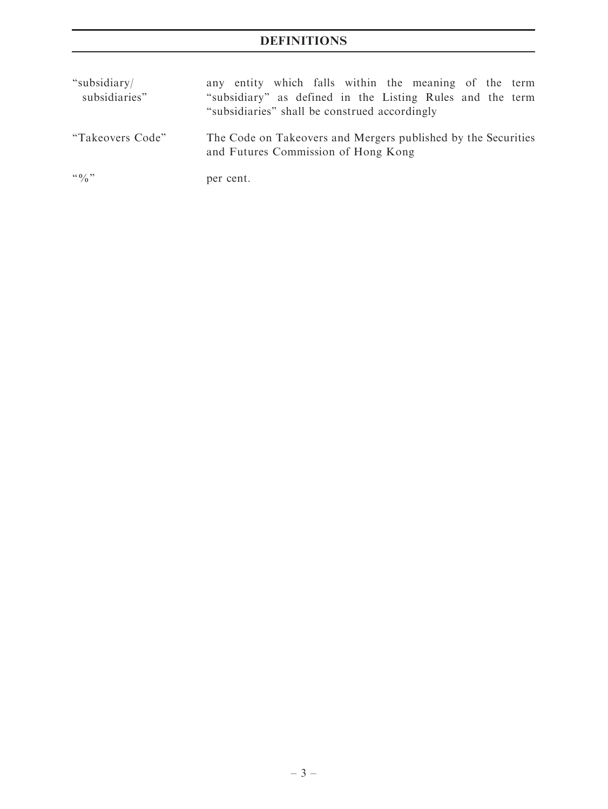# DEFINITIONS

| "subsidiary/<br>subsidiaries" | any entity which falls within the meaning of the term<br>"subsidiary" as defined in the Listing Rules and the term<br>"subsidiaries" shall be construed accordingly |
|-------------------------------|---------------------------------------------------------------------------------------------------------------------------------------------------------------------|
| "Takeovers Code"              | The Code on Takeovers and Mergers published by the Securities<br>and Futures Commission of Hong Kong                                                                |
| $\lq\lq 0$ $\lq\lq$ $\lq$     | per cent.                                                                                                                                                           |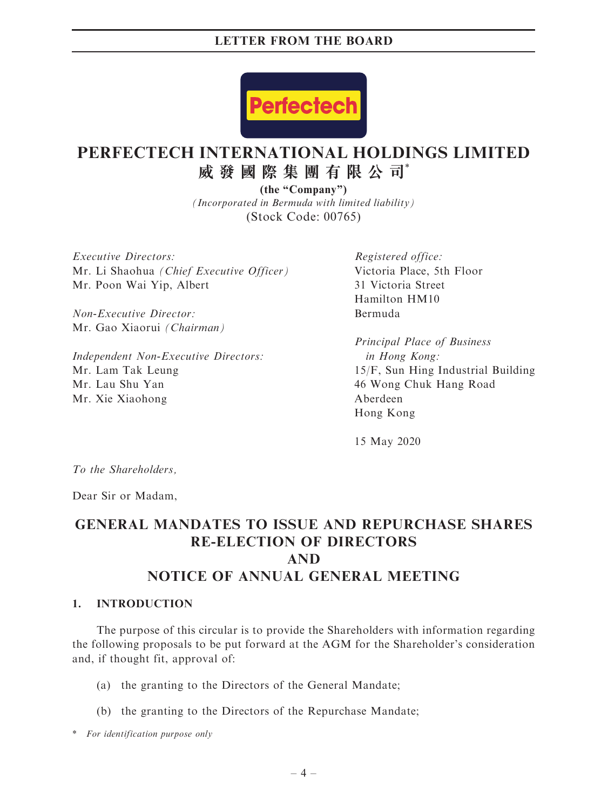

# **PERFECTECH INTERNATIONAL HOLDINGS LIMITED 威發國際集團有限公司**\*

*(Incorporated in Bermuda with limited liability)* (Stock Code: 00765) **(the "Company")**

Executive Directors: Mr. Li Shaohua (Chief Executive Officer) Mr. Poon Wai Yip, Albert

Non-Executive Director: Mr. Gao Xiaorui (Chairman)

Independent Non-Executive Directors: Mr. Lam Tak Leung Mr. Lau Shu Yan Mr. Xie Xiaohong

Registered office: Victoria Place, 5th Floor 31 Victoria Street Hamilton HM10 Bermuda

Principal Place of Business in Hong Kong: 15/F, Sun Hing Industrial Building 46 Wong Chuk Hang Road Aberdeen Hong Kong

15 May 2020

To the Shareholders,

Dear Sir or Madam,

# GENERAL MANDATES TO ISSUE AND REPURCHASE SHARES RE-ELECTION OF DIRECTORS AND NOTICE OF ANNUAL GENERAL MEETING

## 1. INTRODUCTION

The purpose of this circular is to provide the Shareholders with information regarding the following proposals to be put forward at the AGM for the Shareholder's consideration and, if thought fit, approval of:

- (a) the granting to the Directors of the General Mandate;
- (b) the granting to the Directors of the Repurchase Mandate;

\* For identification purpose only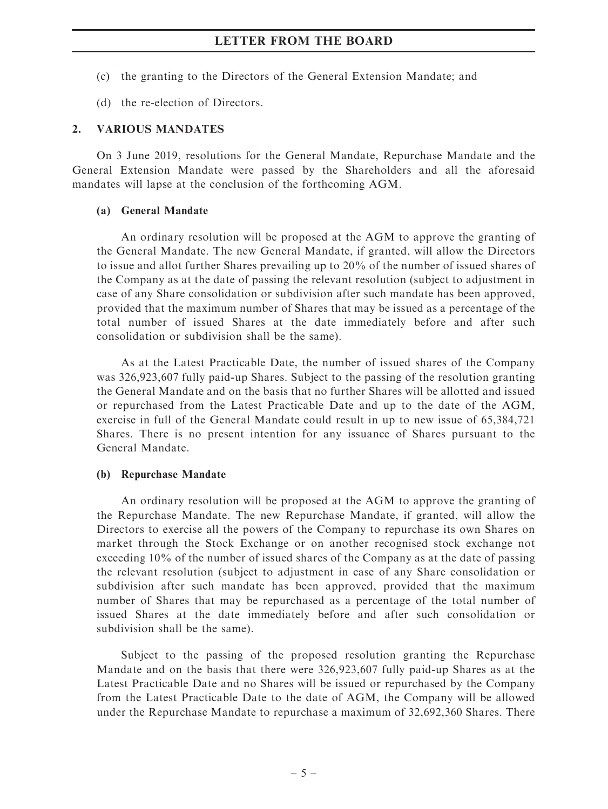- (c) the granting to the Directors of the General Extension Mandate; and
- (d) the re-election of Directors.

#### 2. VARIOUS MANDATES

On 3 June 2019, resolutions for the General Mandate, Repurchase Mandate and the General Extension Mandate were passed by the Shareholders and all the aforesaid mandates will lapse at the conclusion of the forthcoming AGM.

#### (a) General Mandate

An ordinary resolution will be proposed at the AGM to approve the granting of the General Mandate. The new General Mandate, if granted, will allow the Directors to issue and allot further Shares prevailing up to 20% of the number of issued shares of the Company as at the date of passing the relevant resolution (subject to adjustment in case of any Share consolidation or subdivision after such mandate has been approved, provided that the maximum number of Shares that may be issued as a percentage of the total number of issued Shares at the date immediately before and after such consolidation or subdivision shall be the same).

As at the Latest Practicable Date, the number of issued shares of the Company was 326,923,607 fully paid-up Shares. Subject to the passing of the resolution granting the General Mandate and on the basis that no further Shares will be allotted and issued or repurchased from the Latest Practicable Date and up to the date of the AGM, exercise in full of the General Mandate could result in up to new issue of 65,384,721 Shares. There is no present intention for any issuance of Shares pursuant to the General Mandate.

#### (b) Repurchase Mandate

An ordinary resolution will be proposed at the AGM to approve the granting of the Repurchase Mandate. The new Repurchase Mandate, if granted, will allow the Directors to exercise all the powers of the Company to repurchase its own Shares on market through the Stock Exchange or on another recognised stock exchange not exceeding 10% of the number of issued shares of the Company as at the date of passing the relevant resolution (subject to adjustment in case of any Share consolidation or subdivision after such mandate has been approved, provided that the maximum number of Shares that may be repurchased as a percentage of the total number of issued Shares at the date immediately before and after such consolidation or subdivision shall be the same).

Subject to the passing of the proposed resolution granting the Repurchase Mandate and on the basis that there were 326,923,607 fully paid-up Shares as at the Latest Practicable Date and no Shares will be issued or repurchased by the Company from the Latest Practicable Date to the date of AGM, the Company will be allowed under the Repurchase Mandate to repurchase a maximum of 32,692,360 Shares. There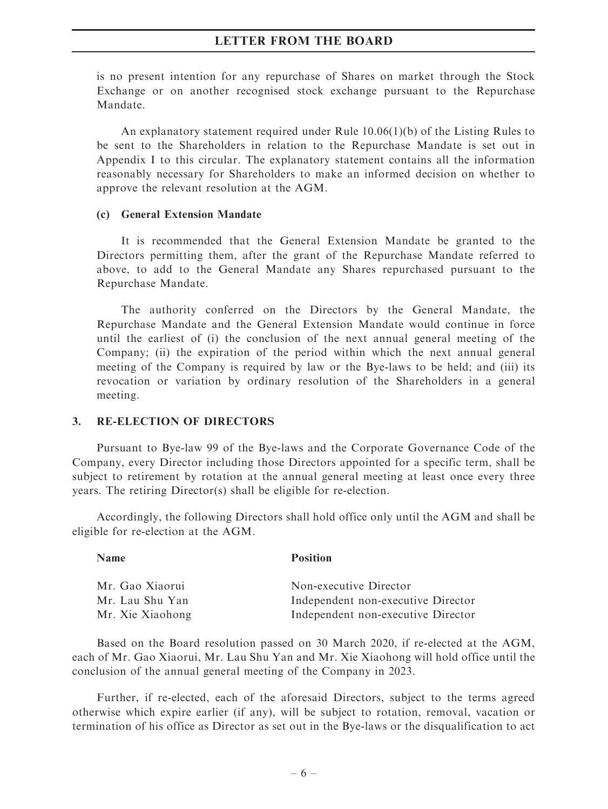is no present intention for any repurchase of Shares on market through the Stock Exchange or on another recognised stock exchange pursuant to the Repurchase Mandate.

An explanatory statement required under Rule 10.06(1)(b) of the Listing Rules to be sent to the Shareholders in relation to the Repurchase Mandate is set out in Appendix I to this circular. The explanatory statement contains all the information reasonably necessary for Shareholders to make an informed decision on whether to approve the relevant resolution at the AGM.

#### (c) General Extension Mandate

It is recommended that the General Extension Mandate be granted to the Directors permitting them, after the grant of the Repurchase Mandate referred to above, to add to the General Mandate any Shares repurchased pursuant to the Repurchase Mandate.

The authority conferred on the Directors by the General Mandate, the Repurchase Mandate and the General Extension Mandate would continue in force until the earliest of (i) the conclusion of the next annual general meeting of the Company; (ii) the expiration of the period within which the next annual general meeting of the Company is required by law or the Bye-laws to be held; and (iii) its revocation or variation by ordinary resolution of the Shareholders in a general meeting.

#### 3. RE-ELECTION OF DIRECTORS

Pursuant to Bye-law 99 of the Bye-laws and the Corporate Governance Code of the Company, every Director including those Directors appointed for a specific term, shall be subject to retirement by rotation at the annual general meeting at least once every three years. The retiring Director(s) shall be eligible for re-election.

Accordingly, the following Directors shall hold office only until the AGM and shall be eligible for re-election at the AGM.

| <b>Name</b>      | <b>Position</b>                    |
|------------------|------------------------------------|
| Mr. Gao Xiaorui  | Non-executive Director             |
| Mr. Lau Shu Yan  | Independent non-executive Director |
| Mr. Xie Xiaohong | Independent non-executive Director |

Based on the Board resolution passed on 30 March 2020, if re-elected at the AGM, each of Mr. Gao Xiaorui, Mr. Lau Shu Yan and Mr. Xie Xiaohong will hold office until the conclusion of the annual general meeting of the Company in 2023.

Further, if re-elected, each of the aforesaid Directors, subject to the terms agreed otherwise which expire earlier (if any), will be subject to rotation, removal, vacation or termination of his office as Director as set out in the Bye-laws or the disqualification to act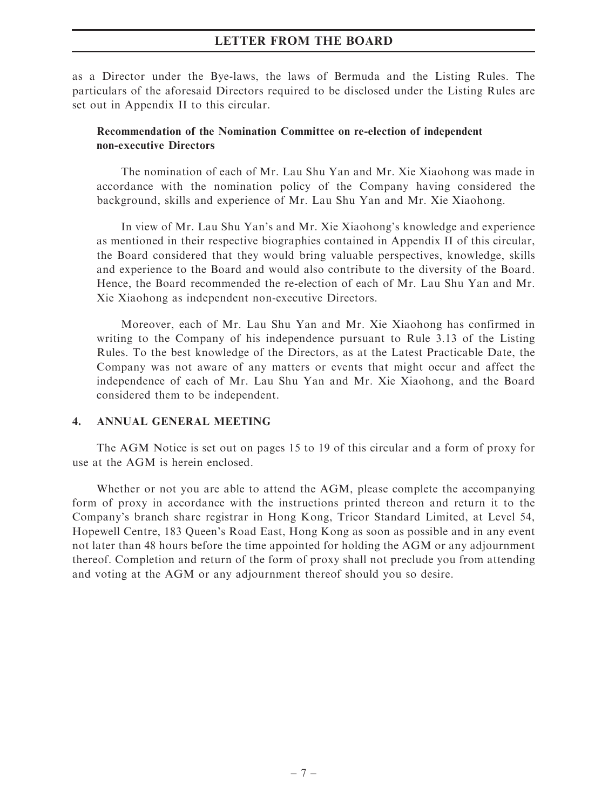as a Director under the Bye-laws, the laws of Bermuda and the Listing Rules. The particulars of the aforesaid Directors required to be disclosed under the Listing Rules are set out in Appendix II to this circular.

### Recommendation of the Nomination Committee on re-election of independent non-executive Directors

The nomination of each of Mr. Lau Shu Yan and Mr. Xie Xiaohong was made in accordance with the nomination policy of the Company having considered the background, skills and experience of Mr. Lau Shu Yan and Mr. Xie Xiaohong.

In view of Mr. Lau Shu Yan's and Mr. Xie Xiaohong's knowledge and experience as mentioned in their respective biographies contained in Appendix II of this circular, the Board considered that they would bring valuable perspectives, knowledge, skills and experience to the Board and would also contribute to the diversity of the Board. Hence, the Board recommended the re-election of each of Mr. Lau Shu Yan and Mr. Xie Xiaohong as independent non-executive Directors.

Moreover, each of Mr. Lau Shu Yan and Mr. Xie Xiaohong has confirmed in writing to the Company of his independence pursuant to Rule 3.13 of the Listing Rules. To the best knowledge of the Directors, as at the Latest Practicable Date, the Company was not aware of any matters or events that might occur and affect the independence of each of Mr. Lau Shu Yan and Mr. Xie Xiaohong, and the Board considered them to be independent.

#### 4. ANNUAL GENERAL MEETING

The AGM Notice is set out on pages 15 to 19 of this circular and a form of proxy for use at the AGM is herein enclosed.

Whether or not you are able to attend the AGM, please complete the accompanying form of proxy in accordance with the instructions printed thereon and return it to the Company's branch share registrar in Hong Kong, Tricor Standard Limited, at Level 54, Hopewell Centre, 183 Queen's Road East, Hong Kong as soon as possible and in any event not later than 48 hours before the time appointed for holding the AGM or any adjournment thereof. Completion and return of the form of proxy shall not preclude you from attending and voting at the AGM or any adjournment thereof should you so desire.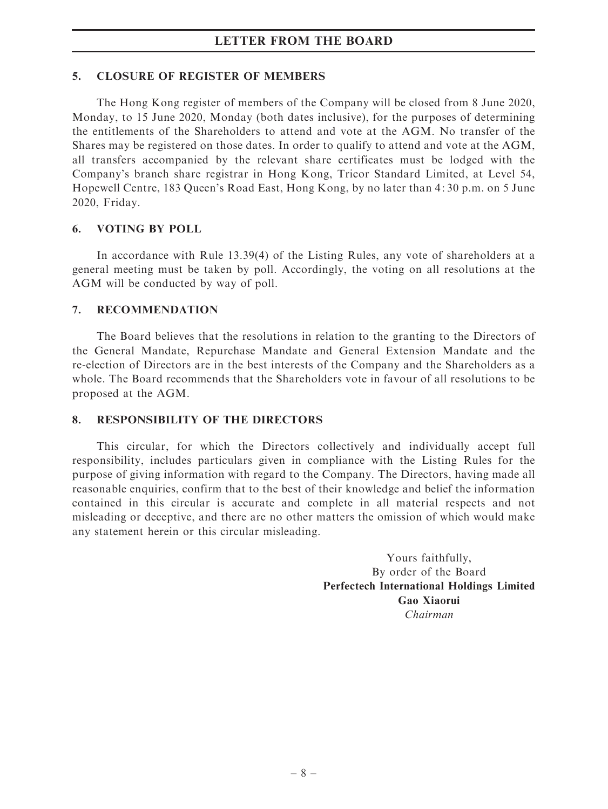#### 5. CLOSURE OF REGISTER OF MEMBERS

The Hong Kong register of members of the Company will be closed from 8 June 2020, Monday, to 15 June 2020, Monday (both dates inclusive), for the purposes of determining the entitlements of the Shareholders to attend and vote at the AGM. No transfer of the Shares may be registered on those dates. In order to qualify to attend and vote at the AGM, all transfers accompanied by the relevant share certificates must be lodged with the Company's branch share registrar in Hong Kong, Tricor Standard Limited, at Level 54, Hopewell Centre, 183 Queen's Road East, Hong Kong, by no later than 4: 30 p.m. on 5 June 2020, Friday.

#### 6. VOTING BY POLL

In accordance with Rule 13.39(4) of the Listing Rules, any vote of shareholders at a general meeting must be taken by poll. Accordingly, the voting on all resolutions at the AGM will be conducted by way of poll.

#### 7. RECOMMENDATION

The Board believes that the resolutions in relation to the granting to the Directors of the General Mandate, Repurchase Mandate and General Extension Mandate and the re-election of Directors are in the best interests of the Company and the Shareholders as a whole. The Board recommends that the Shareholders vote in favour of all resolutions to be proposed at the AGM.

#### 8. RESPONSIBILITY OF THE DIRECTORS

This circular, for which the Directors collectively and individually accept full responsibility, includes particulars given in compliance with the Listing Rules for the purpose of giving information with regard to the Company. The Directors, having made all reasonable enquiries, confirm that to the best of their knowledge and belief the information contained in this circular is accurate and complete in all material respects and not misleading or deceptive, and there are no other matters the omission of which would make any statement herein or this circular misleading.

> Yours faithfully, By order of the Board Perfectech International Holdings Limited Gao Xiaorui Chairman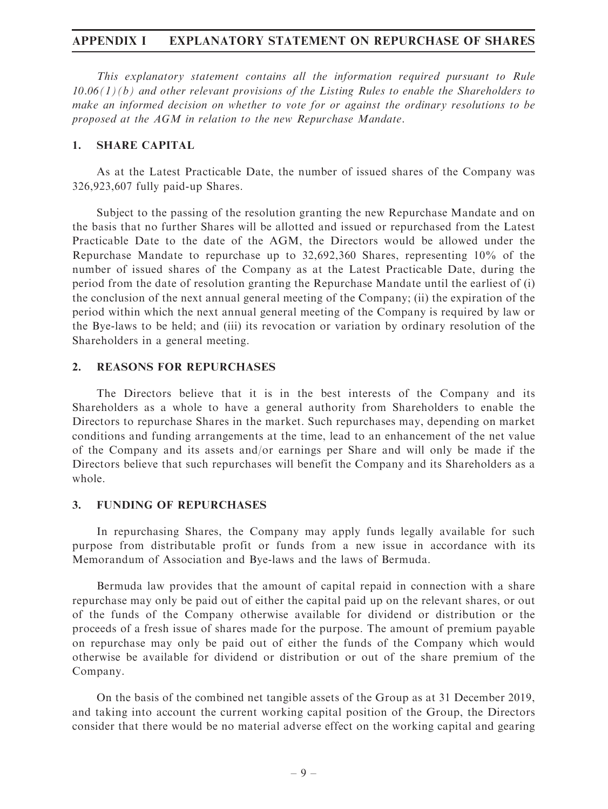### APPENDIX I EXPLANATORY STATEMENT ON REPURCHASE OF SHARES

This explanatory statement contains all the information required pursuant to Rule  $10.06(1)(b)$  and other relevant provisions of the Listing Rules to enable the Shareholders to make an informed decision on whether to vote for or against the ordinary resolutions to be proposed at the AGM in relation to the new Repurchase Mandate.

#### 1. SHARE CAPITAL

As at the Latest Practicable Date, the number of issued shares of the Company was 326,923,607 fully paid-up Shares.

Subject to the passing of the resolution granting the new Repurchase Mandate and on the basis that no further Shares will be allotted and issued or repurchased from the Latest Practicable Date to the date of the AGM, the Directors would be allowed under the Repurchase Mandate to repurchase up to 32,692,360 Shares, representing 10% of the number of issued shares of the Company as at the Latest Practicable Date, during the period from the date of resolution granting the Repurchase Mandate until the earliest of (i) the conclusion of the next annual general meeting of the Company; (ii) the expiration of the period within which the next annual general meeting of the Company is required by law or the Bye-laws to be held; and (iii) its revocation or variation by ordinary resolution of the Shareholders in a general meeting.

#### 2. REASONS FOR REPURCHASES

The Directors believe that it is in the best interests of the Company and its Shareholders as a whole to have a general authority from Shareholders to enable the Directors to repurchase Shares in the market. Such repurchases may, depending on market conditions and funding arrangements at the time, lead to an enhancement of the net value of the Company and its assets and/or earnings per Share and will only be made if the Directors believe that such repurchases will benefit the Company and its Shareholders as a whole.

#### 3. FUNDING OF REPURCHASES

In repurchasing Shares, the Company may apply funds legally available for such purpose from distributable profit or funds from a new issue in accordance with its Memorandum of Association and Bye-laws and the laws of Bermuda.

Bermuda law provides that the amount of capital repaid in connection with a share repurchase may only be paid out of either the capital paid up on the relevant shares, or out of the funds of the Company otherwise available for dividend or distribution or the proceeds of a fresh issue of shares made for the purpose. The amount of premium payable on repurchase may only be paid out of either the funds of the Company which would otherwise be available for dividend or distribution or out of the share premium of the Company.

On the basis of the combined net tangible assets of the Group as at 31 December 2019, and taking into account the current working capital position of the Group, the Directors consider that there would be no material adverse effect on the working capital and gearing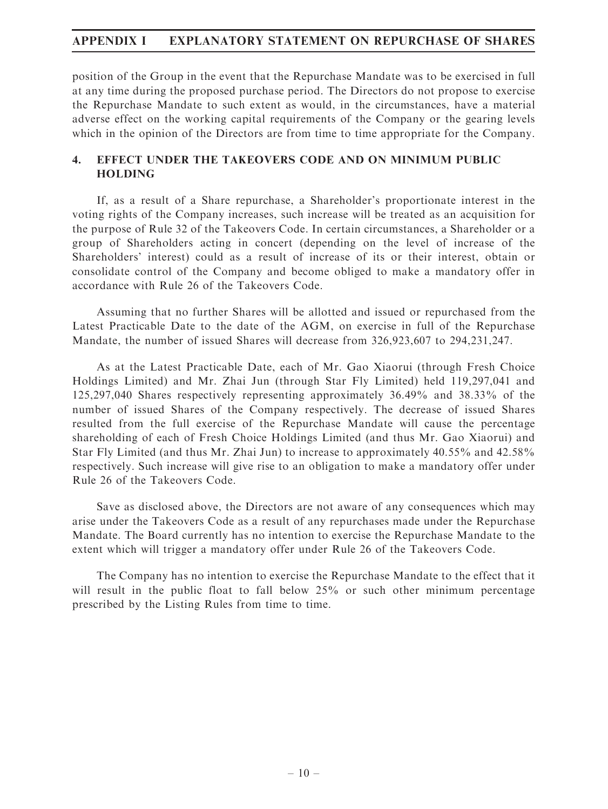# APPENDIX I EXPLANATORY STATEMENT ON REPURCHASE OF SHARES

position of the Group in the event that the Repurchase Mandate was to be exercised in full at any time during the proposed purchase period. The Directors do not propose to exercise the Repurchase Mandate to such extent as would, in the circumstances, have a material adverse effect on the working capital requirements of the Company or the gearing levels which in the opinion of the Directors are from time to time appropriate for the Company.

## 4. EFFECT UNDER THE TAKEOVERS CODE AND ON MINIMUM PUBLIC HOLDING

If, as a result of a Share repurchase, a Shareholder's proportionate interest in the voting rights of the Company increases, such increase will be treated as an acquisition for the purpose of Rule 32 of the Takeovers Code. In certain circumstances, a Shareholder or a group of Shareholders acting in concert (depending on the level of increase of the Shareholders' interest) could as a result of increase of its or their interest, obtain or consolidate control of the Company and become obliged to make a mandatory offer in accordance with Rule 26 of the Takeovers Code.

Assuming that no further Shares will be allotted and issued or repurchased from the Latest Practicable Date to the date of the AGM, on exercise in full of the Repurchase Mandate, the number of issued Shares will decrease from 326,923,607 to 294,231,247.

As at the Latest Practicable Date, each of Mr. Gao Xiaorui (through Fresh Choice Holdings Limited) and Mr. Zhai Jun (through Star Fly Limited) held 119,297,041 and 125,297,040 Shares respectively representing approximately 36.49% and 38.33% of the number of issued Shares of the Company respectively. The decrease of issued Shares resulted from the full exercise of the Repurchase Mandate will cause the percentage shareholding of each of Fresh Choice Holdings Limited (and thus Mr. Gao Xiaorui) and Star Fly Limited (and thus Mr. Zhai Jun) to increase to approximately 40.55% and 42.58% respectively. Such increase will give rise to an obligation to make a mandatory offer under Rule 26 of the Takeovers Code.

Save as disclosed above, the Directors are not aware of any consequences which may arise under the Takeovers Code as a result of any repurchases made under the Repurchase Mandate. The Board currently has no intention to exercise the Repurchase Mandate to the extent which will trigger a mandatory offer under Rule 26 of the Takeovers Code.

The Company has no intention to exercise the Repurchase Mandate to the effect that it will result in the public float to fall below 25% or such other minimum percentage prescribed by the Listing Rules from time to time.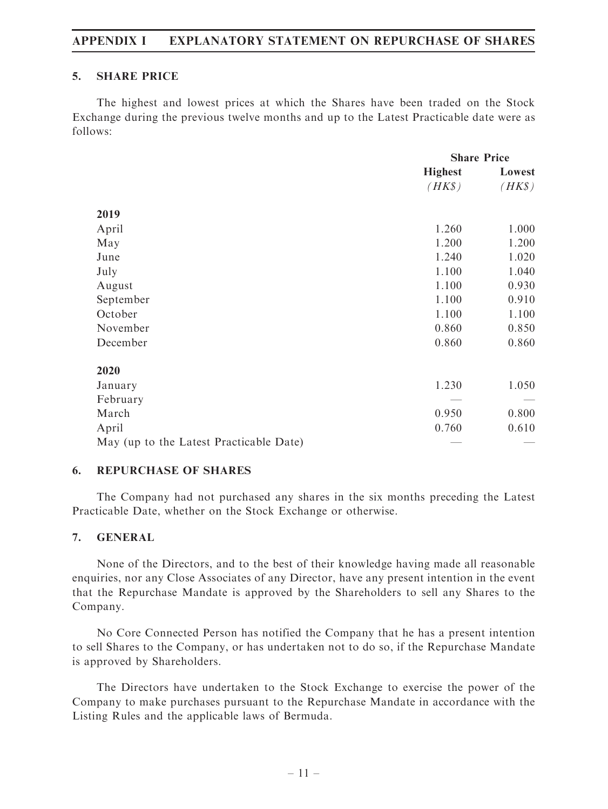## APPENDIX I EXPLANATORY STATEMENT ON REPURCHASE OF SHARES

#### 5. SHARE PRICE

The highest and lowest prices at which the Shares have been traded on the Stock Exchange during the previous twelve months and up to the Latest Practicable date were as follows:

|                                         | <b>Share Price</b> |        |
|-----------------------------------------|--------------------|--------|
|                                         | <b>Highest</b>     | Lowest |
|                                         | $(HK\$             | $(HK\$ |
| 2019                                    |                    |        |
| April                                   | 1.260              | 1.000  |
| May                                     | 1.200              | 1.200  |
| June                                    | 1.240              | 1.020  |
| July                                    | 1.100              | 1.040  |
| August                                  | 1.100              | 0.930  |
| September                               | 1.100              | 0.910  |
| October                                 | 1.100              | 1.100  |
| November                                | 0.860              | 0.850  |
| December                                | 0.860              | 0.860  |
| 2020                                    |                    |        |
| January                                 | 1.230              | 1.050  |
| February                                |                    |        |
| March                                   | 0.950              | 0.800  |
| April                                   | 0.760              | 0.610  |
| May (up to the Latest Practicable Date) |                    |        |

## 6. REPURCHASE OF SHARES

The Company had not purchased any shares in the six months preceding the Latest Practicable Date, whether on the Stock Exchange or otherwise.

## 7. GENERAL

None of the Directors, and to the best of their knowledge having made all reasonable enquiries, nor any Close Associates of any Director, have any present intention in the event that the Repurchase Mandate is approved by the Shareholders to sell any Shares to the Company.

No Core Connected Person has notified the Company that he has a present intention to sell Shares to the Company, or has undertaken not to do so, if the Repurchase Mandate is approved by Shareholders.

The Directors have undertaken to the Stock Exchange to exercise the power of the Company to make purchases pursuant to the Repurchase Mandate in accordance with the Listing Rules and the applicable laws of Bermuda.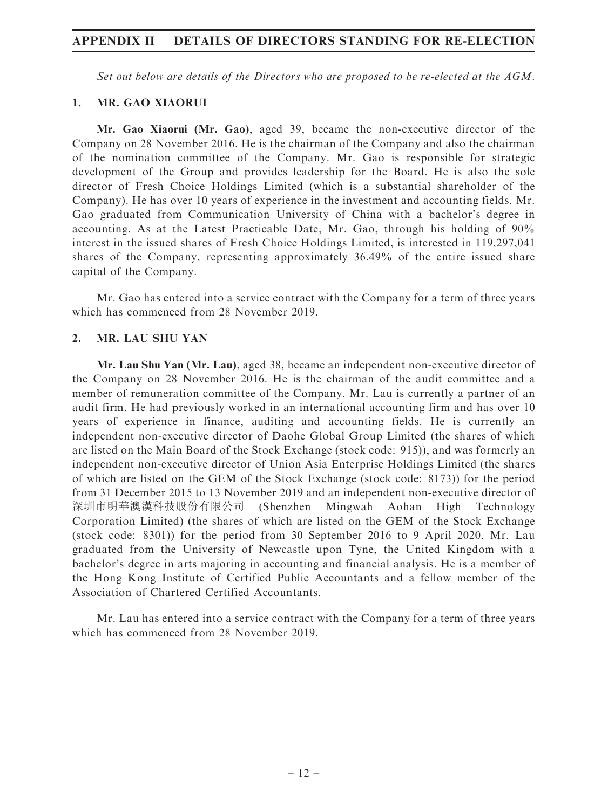## APPENDIX II DETAILS OF DIRECTORS STANDING FOR RE-ELECTION

Set out below are details of the Directors who are proposed to be re-elected at the AGM.

#### 1. MR. GAO XIAORUI

Mr. Gao Xiaorui (Mr. Gao), aged 39, became the non-executive director of the Company on 28 November 2016. He is the chairman of the Company and also the chairman of the nomination committee of the Company. Mr. Gao is responsible for strategic development of the Group and provides leadership for the Board. He is also the sole director of Fresh Choice Holdings Limited (which is a substantial shareholder of the Company). He has over 10 years of experience in the investment and accounting fields. Mr. Gao graduated from Communication University of China with a bachelor's degree in accounting. As at the Latest Practicable Date, Mr. Gao, through his holding of 90% interest in the issued shares of Fresh Choice Holdings Limited, is interested in 119,297,041 shares of the Company, representing approximately 36.49% of the entire issued share capital of the Company.

Mr. Gao has entered into a service contract with the Company for a term of three years which has commenced from 28 November 2019.

### 2. MR. LAU SHU YAN

Mr. Lau Shu Yan (Mr. Lau), aged 38, became an independent non-executive director of the Company on 28 November 2016. He is the chairman of the audit committee and a member of remuneration committee of the Company. Mr. Lau is currently a partner of an audit firm. He had previously worked in an international accounting firm and has over 10 years of experience in finance, auditing and accounting fields. He is currently an independent non-executive director of Daohe Global Group Limited (the shares of which are listed on the Main Board of the Stock Exchange (stock code: 915)), and was formerly an independent non-executive director of Union Asia Enterprise Holdings Limited (the shares of which are listed on the GEM of the Stock Exchange (stock code: 8173)) for the period from 31 December 2015 to 13 November 2019 and an independent non-executive director of 深圳市明華澳漢科技股份有限公司 (Shenzhen Mingwah Aohan High Technology Corporation Limited) (the shares of which are listed on the GEM of the Stock Exchange (stock code: 8301)) for the period from 30 September 2016 to 9 April 2020. Mr. Lau graduated from the University of Newcastle upon Tyne, the United Kingdom with a bachelor's degree in arts majoring in accounting and financial analysis. He is a member of the Hong Kong Institute of Certified Public Accountants and a fellow member of the Association of Chartered Certified Accountants.

Mr. Lau has entered into a service contract with the Company for a term of three years which has commenced from 28 November 2019.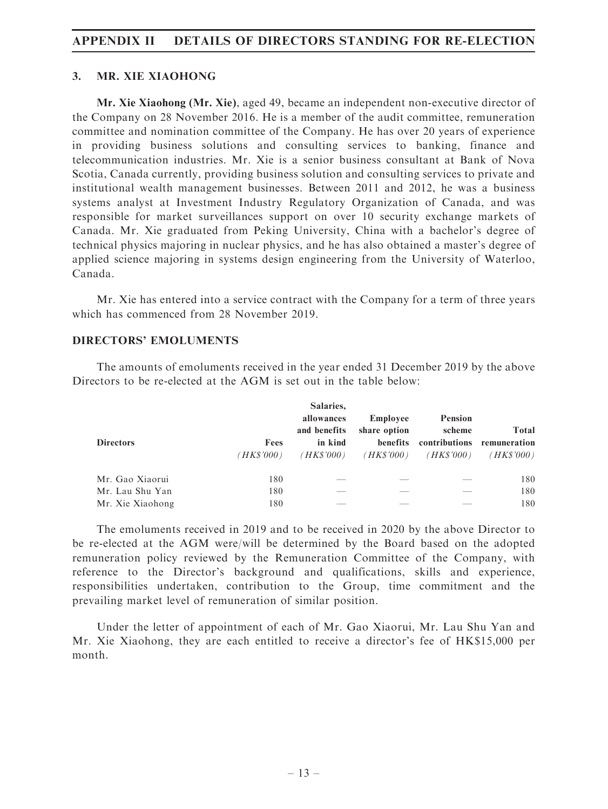## APPENDIX II DETAILS OF DIRECTORS STANDING FOR RE-ELECTION

#### 3. MR. XIE XIAOHONG

Mr. Xie Xiaohong (Mr. Xie), aged 49, became an independent non-executive director of the Company on 28 November 2016. He is a member of the audit committee, remuneration committee and nomination committee of the Company. He has over 20 years of experience in providing business solutions and consulting services to banking, finance and telecommunication industries. Mr. Xie is a senior business consultant at Bank of Nova Scotia, Canada currently, providing business solution and consulting services to private and institutional wealth management businesses. Between 2011 and 2012, he was a business systems analyst at Investment Industry Regulatory Organization of Canada, and was responsible for market surveillances support on over 10 security exchange markets of Canada. Mr. Xie graduated from Peking University, China with a bachelor's degree of technical physics majoring in nuclear physics, and he has also obtained a master's degree of applied science majoring in systems design engineering from the University of Waterloo, Canada.

Mr. Xie has entered into a service contract with the Company for a term of three years which has commenced from 28 November 2019.

#### DIRECTORS' EMOLUMENTS

The amounts of emoluments received in the year ended 31 December 2019 by the above Directors to be re-elected at the AGM is set out in the table below:

| <b>Directors</b> | Fees<br>(HK\$'000) | Salaries.<br>allowances<br>and benefits<br>in kind<br>(HK\$'000) | Employee<br>share option<br>benefits<br>( <i>HK\$'000</i> ) | <b>Pension</b><br>scheme<br>(HK\$'000) | Total<br>contributions remuneration<br>(HK\$'000) |
|------------------|--------------------|------------------------------------------------------------------|-------------------------------------------------------------|----------------------------------------|---------------------------------------------------|
| Mr. Gao Xiaorui  | 180                | ___                                                              |                                                             |                                        | 180                                               |
| Mr. Lau Shu Yan  | 180                |                                                                  |                                                             |                                        | 180                                               |
| Mr. Xie Xiaohong | 180                |                                                                  |                                                             |                                        | 180                                               |

The emoluments received in 2019 and to be received in 2020 by the above Director to be re-elected at the AGM were/will be determined by the Board based on the adopted remuneration policy reviewed by the Remuneration Committee of the Company, with reference to the Director's background and qualifications, skills and experience, responsibilities undertaken, contribution to the Group, time commitment and the prevailing market level of remuneration of similar position.

Under the letter of appointment of each of Mr. Gao Xiaorui, Mr. Lau Shu Yan and Mr. Xie Xiaohong, they are each entitled to receive a director's fee of HK\$15,000 per month.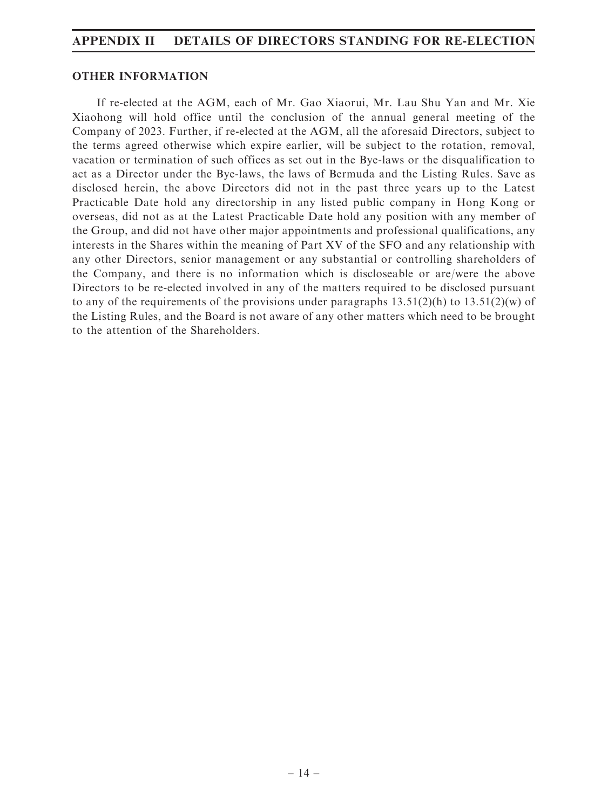## APPENDIX II DETAILS OF DIRECTORS STANDING FOR RE-ELECTION

#### OTHER INFORMATION

If re-elected at the AGM, each of Mr. Gao Xiaorui, Mr. Lau Shu Yan and Mr. Xie Xiaohong will hold office until the conclusion of the annual general meeting of the Company of 2023. Further, if re-elected at the AGM, all the aforesaid Directors, subject to the terms agreed otherwise which expire earlier, will be subject to the rotation, removal, vacation or termination of such offices as set out in the Bye-laws or the disqualification to act as a Director under the Bye-laws, the laws of Bermuda and the Listing Rules. Save as disclosed herein, the above Directors did not in the past three years up to the Latest Practicable Date hold any directorship in any listed public company in Hong Kong or overseas, did not as at the Latest Practicable Date hold any position with any member of the Group, and did not have other major appointments and professional qualifications, any interests in the Shares within the meaning of Part XV of the SFO and any relationship with any other Directors, senior management or any substantial or controlling shareholders of the Company, and there is no information which is discloseable or are/were the above Directors to be re-elected involved in any of the matters required to be disclosed pursuant to any of the requirements of the provisions under paragraphs  $13.51(2)(h)$  to  $13.51(2)(w)$  of the Listing Rules, and the Board is not aware of any other matters which need to be brought to the attention of the Shareholders.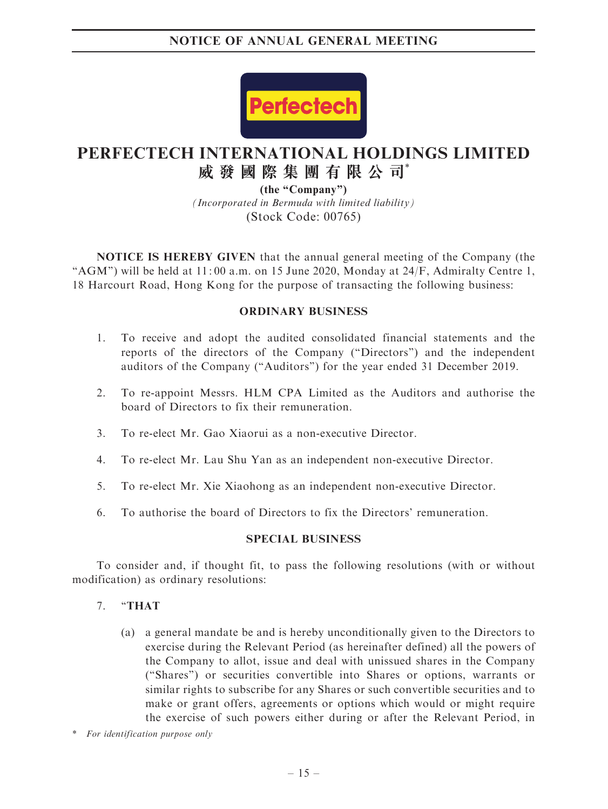

# **PERFECTECH INTERNATIONAL HOLDINGS LIMITED 威發國際集團有限公司**\*

*(Incorporated in Bermuda with limited liability)* (Stock Code: 00765) **(the "Company")**

NOTICE IS HEREBY GIVEN that the annual general meeting of the Company (the "AGM") will be held at 11:00 a.m. on 15 June 2020, Monday at 24/F, Admiralty Centre 1, 18 Harcourt Road, Hong Kong for the purpose of transacting the following business:

## ORDINARY BUSINESS

- 1. To receive and adopt the audited consolidated financial statements and the reports of the directors of the Company (''Directors'') and the independent auditors of the Company (''Auditors'') for the year ended 31 December 2019.
- 2. To re-appoint Messrs. HLM CPA Limited as the Auditors and authorise the board of Directors to fix their remuneration.
- 3. To re-elect Mr. Gao Xiaorui as a non-executive Director.
- 4. To re-elect Mr. Lau Shu Yan as an independent non-executive Director.
- 5. To re-elect Mr. Xie Xiaohong as an independent non-executive Director.
- 6. To authorise the board of Directors to fix the Directors' remuneration.

## SPECIAL BUSINESS

To consider and, if thought fit, to pass the following resolutions (with or without modification) as ordinary resolutions:

#### 7. ''THAT

(a) a general mandate be and is hereby unconditionally given to the Directors to exercise during the Relevant Period (as hereinafter defined) all the powers of the Company to allot, issue and deal with unissued shares in the Company (''Shares'') or securities convertible into Shares or options, warrants or similar rights to subscribe for any Shares or such convertible securities and to make or grant offers, agreements or options which would or might require the exercise of such powers either during or after the Relevant Period, in

\* For identification purpose only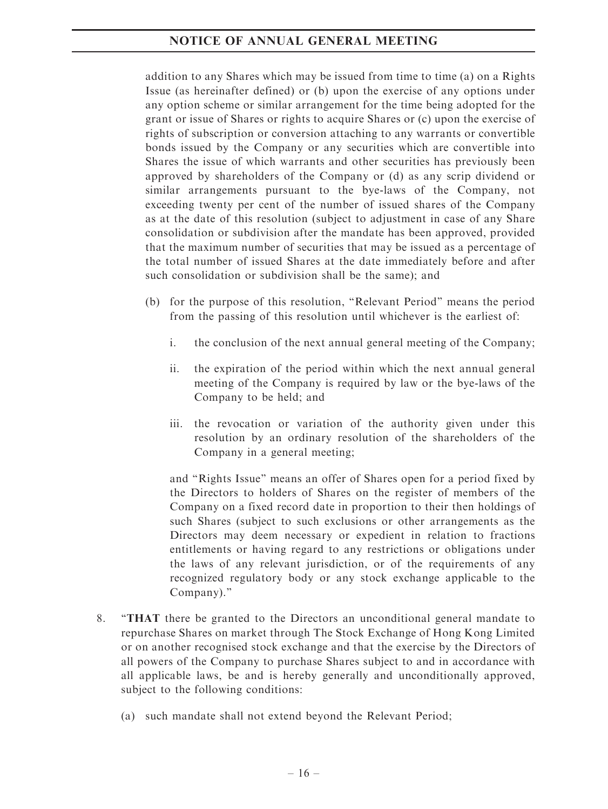addition to any Shares which may be issued from time to time (a) on a Rights Issue (as hereinafter defined) or (b) upon the exercise of any options under any option scheme or similar arrangement for the time being adopted for the grant or issue of Shares or rights to acquire Shares or (c) upon the exercise of rights of subscription or conversion attaching to any warrants or convertible bonds issued by the Company or any securities which are convertible into Shares the issue of which warrants and other securities has previously been approved by shareholders of the Company or (d) as any scrip dividend or similar arrangements pursuant to the bye-laws of the Company, not exceeding twenty per cent of the number of issued shares of the Company as at the date of this resolution (subject to adjustment in case of any Share consolidation or subdivision after the mandate has been approved, provided that the maximum number of securities that may be issued as a percentage of the total number of issued Shares at the date immediately before and after such consolidation or subdivision shall be the same); and

- (b) for the purpose of this resolution, ''Relevant Period'' means the period from the passing of this resolution until whichever is the earliest of:
	- i. the conclusion of the next annual general meeting of the Company;
	- ii. the expiration of the period within which the next annual general meeting of the Company is required by law or the bye-laws of the Company to be held; and
	- iii. the revocation or variation of the authority given under this resolution by an ordinary resolution of the shareholders of the Company in a general meeting;

and ''Rights Issue'' means an offer of Shares open for a period fixed by the Directors to holders of Shares on the register of members of the Company on a fixed record date in proportion to their then holdings of such Shares (subject to such exclusions or other arrangements as the Directors may deem necessary or expedient in relation to fractions entitlements or having regard to any restrictions or obligations under the laws of any relevant jurisdiction, or of the requirements of any recognized regulatory body or any stock exchange applicable to the Company).''

- 8. ''THAT there be granted to the Directors an unconditional general mandate to repurchase Shares on market through The Stock Exchange of Hong Kong Limited or on another recognised stock exchange and that the exercise by the Directors of all powers of the Company to purchase Shares subject to and in accordance with all applicable laws, be and is hereby generally and unconditionally approved, subject to the following conditions:
	- (a) such mandate shall not extend beyond the Relevant Period;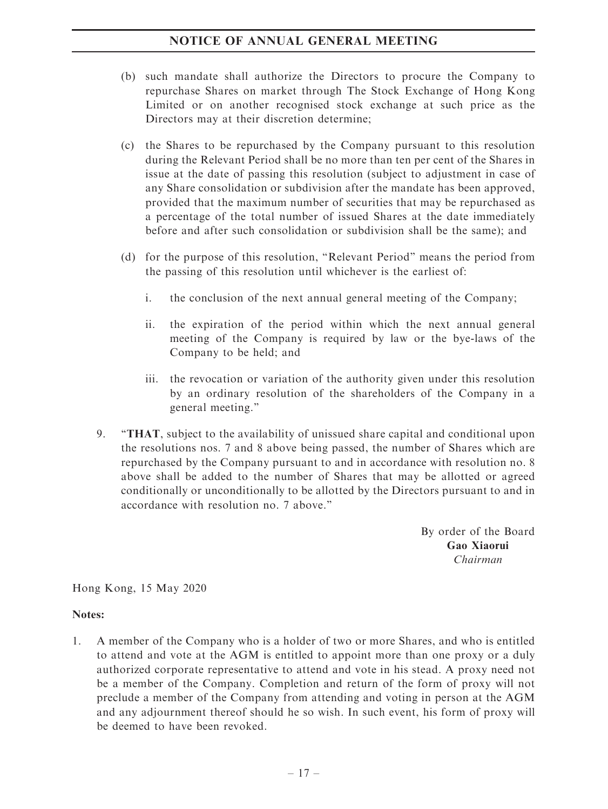- (b) such mandate shall authorize the Directors to procure the Company to repurchase Shares on market through The Stock Exchange of Hong Kong Limited or on another recognised stock exchange at such price as the Directors may at their discretion determine;
- (c) the Shares to be repurchased by the Company pursuant to this resolution during the Relevant Period shall be no more than ten per cent of the Shares in issue at the date of passing this resolution (subject to adjustment in case of any Share consolidation or subdivision after the mandate has been approved, provided that the maximum number of securities that may be repurchased as a percentage of the total number of issued Shares at the date immediately before and after such consolidation or subdivision shall be the same); and
- (d) for the purpose of this resolution, ''Relevant Period'' means the period from the passing of this resolution until whichever is the earliest of:
	- i. the conclusion of the next annual general meeting of the Company;
	- ii. the expiration of the period within which the next annual general meeting of the Company is required by law or the bye-laws of the Company to be held; and
	- iii. the revocation or variation of the authority given under this resolution by an ordinary resolution of the shareholders of the Company in a general meeting.''
- 9. ''THAT, subject to the availability of unissued share capital and conditional upon the resolutions nos. 7 and 8 above being passed, the number of Shares which are repurchased by the Company pursuant to and in accordance with resolution no. 8 above shall be added to the number of Shares that may be allotted or agreed conditionally or unconditionally to be allotted by the Directors pursuant to and in accordance with resolution no. 7 above.''

By order of the Board Gao Xiaorui Chairman

Hong Kong, 15 May 2020

#### Notes:

1. A member of the Company who is a holder of two or more Shares, and who is entitled to attend and vote at the AGM is entitled to appoint more than one proxy or a duly authorized corporate representative to attend and vote in his stead. A proxy need not be a member of the Company. Completion and return of the form of proxy will not preclude a member of the Company from attending and voting in person at the AGM and any adjournment thereof should he so wish. In such event, his form of proxy will be deemed to have been revoked.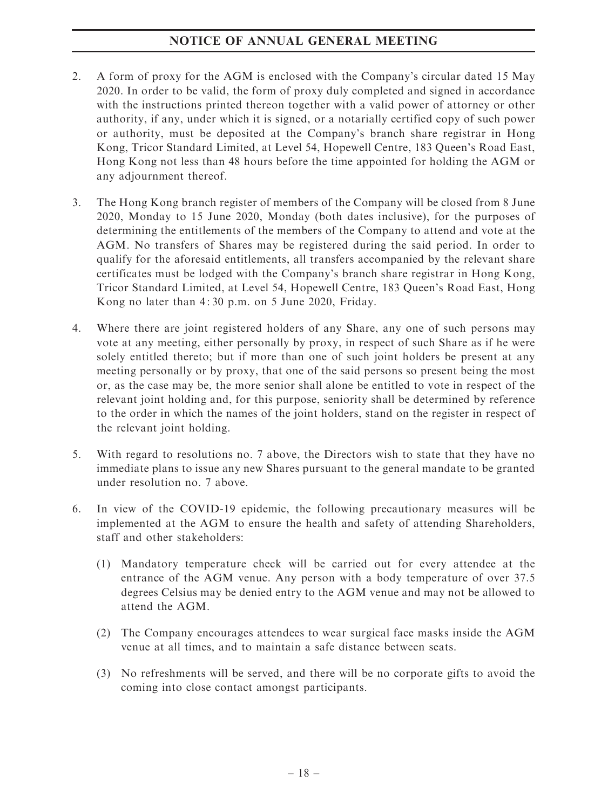- 2. A form of proxy for the AGM is enclosed with the Company's circular dated 15 May 2020. In order to be valid, the form of proxy duly completed and signed in accordance with the instructions printed thereon together with a valid power of attorney or other authority, if any, under which it is signed, or a notarially certified copy of such power or authority, must be deposited at the Company's branch share registrar in Hong Kong, Tricor Standard Limited, at Level 54, Hopewell Centre, 183 Queen's Road East, Hong Kong not less than 48 hours before the time appointed for holding the AGM or any adjournment thereof.
- 3. The Hong Kong branch register of members of the Company will be closed from 8 June 2020, Monday to 15 June 2020, Monday (both dates inclusive), for the purposes of determining the entitlements of the members of the Company to attend and vote at the AGM. No transfers of Shares may be registered during the said period. In order to qualify for the aforesaid entitlements, all transfers accompanied by the relevant share certificates must be lodged with the Company's branch share registrar in Hong Kong, Tricor Standard Limited, at Level 54, Hopewell Centre, 183 Queen's Road East, Hong Kong no later than 4: 30 p.m. on 5 June 2020, Friday.
- 4. Where there are joint registered holders of any Share, any one of such persons may vote at any meeting, either personally by proxy, in respect of such Share as if he were solely entitled thereto; but if more than one of such joint holders be present at any meeting personally or by proxy, that one of the said persons so present being the most or, as the case may be, the more senior shall alone be entitled to vote in respect of the relevant joint holding and, for this purpose, seniority shall be determined by reference to the order in which the names of the joint holders, stand on the register in respect of the relevant joint holding.
- 5. With regard to resolutions no. 7 above, the Directors wish to state that they have no immediate plans to issue any new Shares pursuant to the general mandate to be granted under resolution no. 7 above.
- 6. In view of the COVID-19 epidemic, the following precautionary measures will be implemented at the AGM to ensure the health and safety of attending Shareholders, staff and other stakeholders:
	- (1) Mandatory temperature check will be carried out for every attendee at the entrance of the AGM venue. Any person with a body temperature of over 37.5 degrees Celsius may be denied entry to the AGM venue and may not be allowed to attend the AGM.
	- (2) The Company encourages attendees to wear surgical face masks inside the AGM venue at all times, and to maintain a safe distance between seats.
	- (3) No refreshments will be served, and there will be no corporate gifts to avoid the coming into close contact amongst participants.